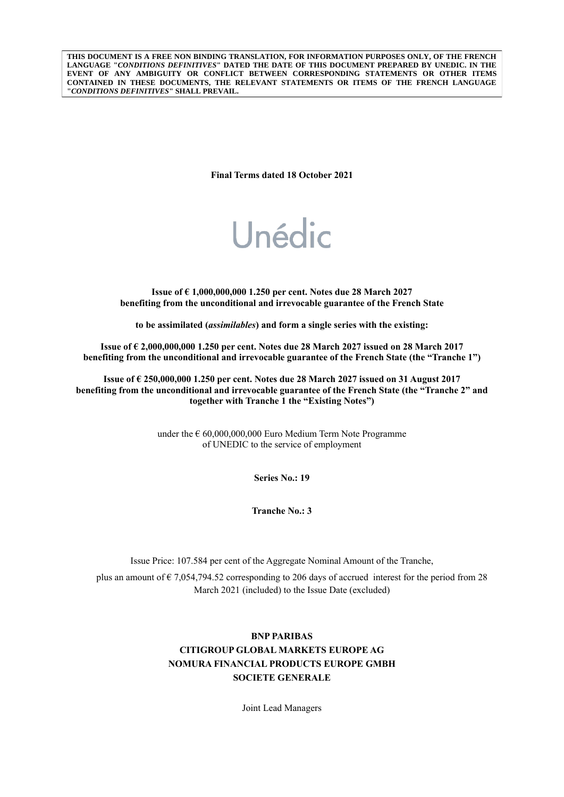**THIS DOCUMENT IS A FREE NON BINDING TRANSLATION, FOR INFORMATION PURPOSES ONLY, OF THE FRENCH LANGUAGE "***CONDITIONS DEFINITIVES***" DATED THE DATE OF THIS DOCUMENT PREPARED BY UNEDIC. IN THE EVENT OF ANY AMBIGUITY OR CONFLICT BETWEEN CORRESPONDING STATEMENTS OR OTHER ITEMS CONTAINED IN THESE DOCUMENTS, THE RELEVANT STATEMENTS OR ITEMS OF THE FRENCH LANGUAGE "***CONDITIONS DEFINITIVES***" SHALL PREVAIL.**

**Final Terms dated 18 October 2021**

# Unédic

**Issue of € 1,000,000,000 1.250 per cent. Notes due 28 March 2027 benefiting from the unconditional and irrevocable guarantee of the French State**

**to be assimilated (***assimilables***) and form a single series with the existing:**

**Issue of € 2,000,000,000 1.250 per cent. Notes due 28 March 2027 issued on 28 March 2017 benefiting from the unconditional and irrevocable guarantee of the French State (the "Tranche 1")**

**Issue of € 250,000,000 1.250 per cent. Notes due 28 March 2027 issued on 31 August 2017 benefiting from the unconditional and irrevocable guarantee of the French State (the "Tranche 2" and together with Tranche 1 the "Existing Notes")**

> under the  $\epsilon$  60,000,000,000 Euro Medium Term Note Programme of UNEDIC to the service of employment

> > **Series No.: 19**

**Tranche No.: 3**

Issue Price: 107.584 per cent of the Aggregate Nominal Amount of the Tranche,

plus an amount of  $\epsilon$  7,054,794.52 corresponding to 206 days of accrued interest for the period from 28 March 2021 (included) to the Issue Date (excluded)

## **BNP PARIBAS CITIGROUP GLOBAL MARKETS EUROPE AG NOMURA FINANCIAL PRODUCTS EUROPE GMBH SOCIETE GENERALE**

Joint Lead Managers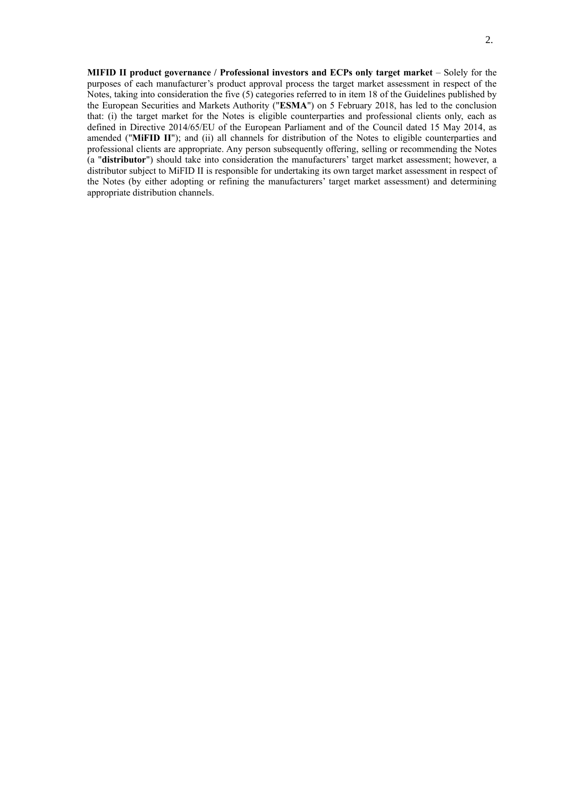**MIFID II product governance / Professional investors and ECPs only target market** – Solely for the purposes of each manufacturer's product approval process the target market assessment in respect of the Notes, taking into consideration the five (5) categories referred to in item 18 of the Guidelines published by the European Securities and Markets Authority ("**ESMA**") on 5 February 2018, has led to the conclusion that: (i) the target market for the Notes is eligible counterparties and professional clients only, each as defined in Directive 2014/65/EU of the European Parliament and of the Council dated 15 May 2014, as amended ("**MiFID II**"); and (ii) all channels for distribution of the Notes to eligible counterparties and professional clients are appropriate. Any person subsequently offering, selling or recommending the Notes (a "**distributor**") should take into consideration the manufacturers' target market assessment; however, a distributor subject to MiFID II is responsible for undertaking its own target market assessment in respect of the Notes (by either adopting or refining the manufacturers' target market assessment) and determining appropriate distribution channels.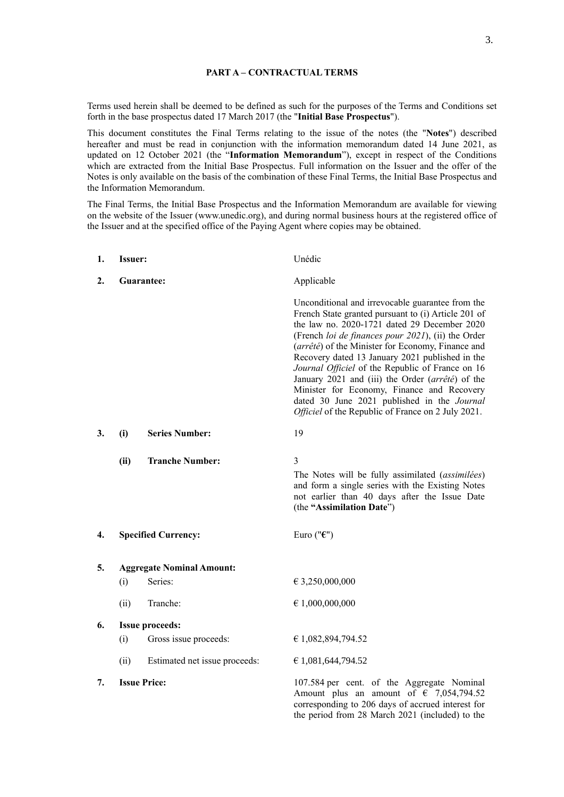Terms used herein shall be deemed to be defined as such for the purposes of the Terms and Conditions set forth in the base prospectus dated 17 March 2017 (the "**Initial Base Prospectus**").

This document constitutes the Final Terms relating to the issue of the notes (the "**Notes**") described hereafter and must be read in conjunction with the information memorandum dated 14 June 2021, as updated on 12 October 2021 (the "**Information Memorandum**"), except in respect of the Conditions which are extracted from the Initial Base Prospectus. Full information on the Issuer and the offer of the Notes is only available on the basis of the combination of these Final Terms, the Initial Base Prospectus and the Information Memorandum.

The Final Terms, the Initial Base Prospectus and the Information Memorandum are available for viewing on the website of the Issuer (www.unedic.org), and during normal business hours at the registered office of the Issuer and at the specified office of the Paying Agent where copies may be obtained.

| 1. | <b>Issuer:</b>      |                                  | Unédic                                                                                                                                                                                                                                                                                                                                                                                                                                                                                                                                                                           |
|----|---------------------|----------------------------------|----------------------------------------------------------------------------------------------------------------------------------------------------------------------------------------------------------------------------------------------------------------------------------------------------------------------------------------------------------------------------------------------------------------------------------------------------------------------------------------------------------------------------------------------------------------------------------|
| 2. | Guarantee:          |                                  | Applicable                                                                                                                                                                                                                                                                                                                                                                                                                                                                                                                                                                       |
|    |                     |                                  | Unconditional and irrevocable guarantee from the<br>French State granted pursuant to (i) Article 201 of<br>the law no. 2020-1721 dated 29 December 2020<br>(French loi de finances pour 2021), (ii) the Order<br>(arrêté) of the Minister for Economy, Finance and<br>Recovery dated 13 January 2021 published in the<br>Journal Officiel of the Republic of France on 16<br>January 2021 and (iii) the Order (arrêté) of the<br>Minister for Economy, Finance and Recovery<br>dated 30 June 2021 published in the Journal<br>Officiel of the Republic of France on 2 July 2021. |
| 3. | (i)                 | <b>Series Number:</b>            | 19                                                                                                                                                                                                                                                                                                                                                                                                                                                                                                                                                                               |
|    | (ii)                | <b>Tranche Number:</b>           | 3<br>The Notes will be fully assimilated (assimilées)<br>and form a single series with the Existing Notes<br>not earlier than 40 days after the Issue Date<br>(the "Assimilation Date")                                                                                                                                                                                                                                                                                                                                                                                          |
| 4. |                     | <b>Specified Currency:</b>       | Euro (" $\epsilon$ ")                                                                                                                                                                                                                                                                                                                                                                                                                                                                                                                                                            |
| 5. |                     | <b>Aggregate Nominal Amount:</b> |                                                                                                                                                                                                                                                                                                                                                                                                                                                                                                                                                                                  |
|    | (i)                 | Series:                          | € 3,250,000,000                                                                                                                                                                                                                                                                                                                                                                                                                                                                                                                                                                  |
|    | (ii)                | Tranche:                         | $\epsilon$ 1,000,000,000                                                                                                                                                                                                                                                                                                                                                                                                                                                                                                                                                         |
| 6. |                     | <b>Issue proceeds:</b>           |                                                                                                                                                                                                                                                                                                                                                                                                                                                                                                                                                                                  |
|    | (i)                 | Gross issue proceeds:            | € 1,082,894,794.52                                                                                                                                                                                                                                                                                                                                                                                                                                                                                                                                                               |
|    | (ii)                | Estimated net issue proceeds:    | € 1,081,644,794.52                                                                                                                                                                                                                                                                                                                                                                                                                                                                                                                                                               |
| 7. | <b>Issue Price:</b> |                                  | 107.584 per cent. of the Aggregate Nominal<br>Amount plus an amount of $\epsilon$ 7,054,794.52<br>corresponding to 206 days of accrued interest for<br>the period from 28 March 2021 (included) to the                                                                                                                                                                                                                                                                                                                                                                           |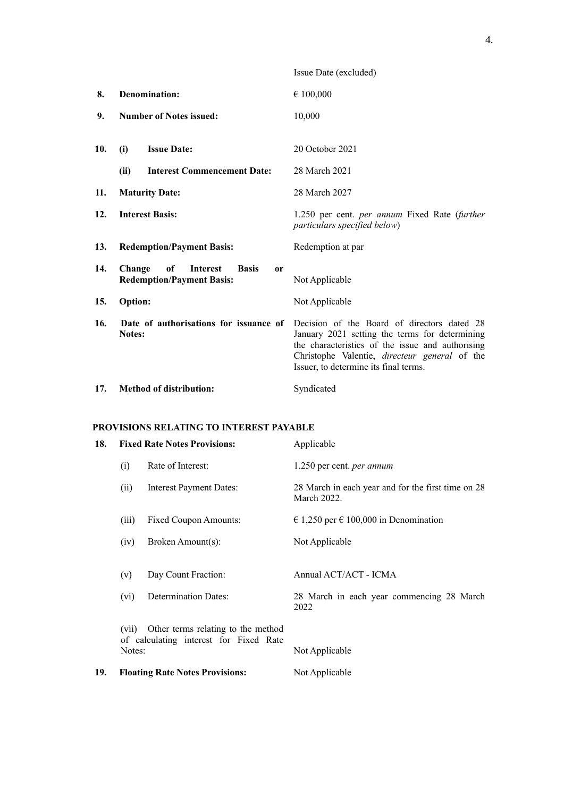|     |                                                                                                      | Issue Date (excluded)                                                                                                                                                                                                                       |
|-----|------------------------------------------------------------------------------------------------------|---------------------------------------------------------------------------------------------------------------------------------------------------------------------------------------------------------------------------------------------|
| 8.  | Denomination:                                                                                        | € 100,000                                                                                                                                                                                                                                   |
| 9.  | <b>Number of Notes issued:</b>                                                                       | 10,000                                                                                                                                                                                                                                      |
| 10. | <b>Issue Date:</b><br>(i)                                                                            | 20 October 2021                                                                                                                                                                                                                             |
|     | (ii)<br><b>Interest Commencement Date:</b>                                                           | 28 March 2021                                                                                                                                                                                                                               |
| 11. | <b>Maturity Date:</b>                                                                                | 28 March 2027                                                                                                                                                                                                                               |
| 12. | <b>Interest Basis:</b>                                                                               | 1.250 per cent. <i>per annum</i> Fixed Rate (further<br>particulars specified below)                                                                                                                                                        |
| 13. | <b>Redemption/Payment Basis:</b>                                                                     | Redemption at par                                                                                                                                                                                                                           |
| 14. | of<br>Change<br><b>Interest</b><br><b>Basis</b><br><sub>or</sub><br><b>Redemption/Payment Basis:</b> | Not Applicable                                                                                                                                                                                                                              |
| 15. | <b>Option:</b>                                                                                       | Not Applicable                                                                                                                                                                                                                              |
| 16. | Date of authorisations for issuance of<br>Notes:                                                     | Decision of the Board of directors dated 28<br>January 2021 setting the terms for determining<br>the characteristics of the issue and authorising<br>Christophe Valentie, directeur general of the<br>Issuer, to determine its final terms. |
| 17. | <b>Method of distribution:</b>                                                                       | Syndicated                                                                                                                                                                                                                                  |

### **PROVISIONS RELATING TO INTEREST PAYABLE**

| 18. | <b>Fixed Rate Notes Provisions:</b>                                                             |                                        | Applicable                                                        |
|-----|-------------------------------------------------------------------------------------------------|----------------------------------------|-------------------------------------------------------------------|
|     | (i)                                                                                             | Rate of Interest:                      | 1.250 per cent. <i>per annum</i>                                  |
|     | (ii)                                                                                            | <b>Interest Payment Dates:</b>         | 28 March in each year and for the first time on 28<br>March 2022. |
|     | (iii)                                                                                           | Fixed Coupon Amounts:                  | € 1,250 per € 100,000 in Denomination                             |
|     | (iv)                                                                                            | Broken Amount(s):                      | Not Applicable                                                    |
|     |                                                                                                 |                                        |                                                                   |
|     | (v)                                                                                             | Day Count Fraction:                    | Annual ACT/ACT - ICMA                                             |
|     | (vi)                                                                                            | <b>Determination Dates:</b>            | 28 March in each year commencing 28 March<br>2022                 |
|     | Other terms relating to the method<br>(vii)<br>of calculating interest for Fixed Rate<br>Notes: |                                        |                                                                   |
|     |                                                                                                 |                                        | Not Applicable                                                    |
| 19. |                                                                                                 | <b>Floating Rate Notes Provisions:</b> | Not Applicable                                                    |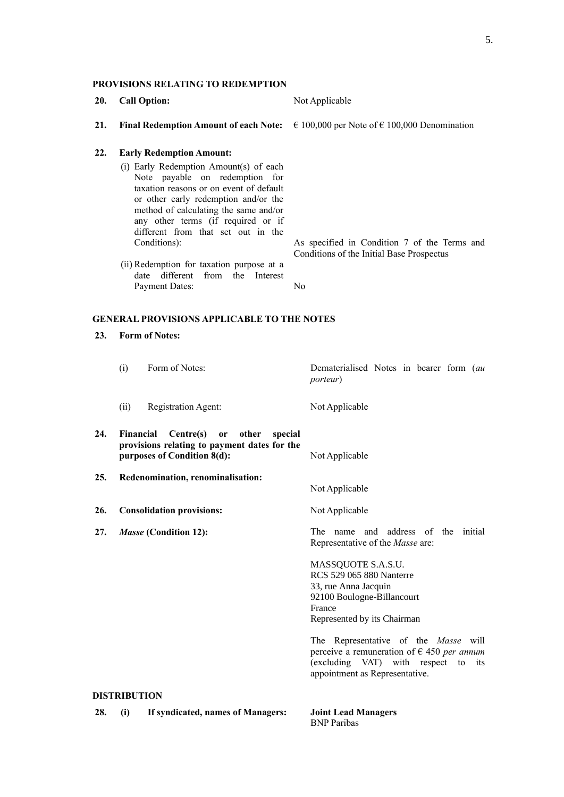#### **PROVISIONS RELATING TO REDEMPTION**

- **20. Call Option:** Not Applicable
- **21. Final Redemption Amount of each Note:**  $\epsilon$  100,000 per Note of  $\epsilon$  100,000 Denomination

Conditions of the Initial Base Prospectus

#### **22. Early Redemption Amount:**

- (i) Early Redemption Amount(s) of each Note payable on redemption for taxation reasons or on event of default or other early redemption and/or the method of calculating the same and/or any other terms (if required or if different from that set out in the Conditions): As specified in Condition 7 of the Terms and
- (ii) Redemption for taxation purpose at a date different from the Interest Payment Dates: No

#### **GENERAL PROVISIONS APPLICABLE TO THE NOTES**

#### **23. Form of Notes:**

(i) Form of Notes: Dematerialised Notes in bearer form (*au porteur*) (ii) Registration Agent: Not Applicable **24. Financial Centre(s) or other special provisions relating to payment dates for the purposes of Condition 8(d):** Not Applicable **25. Redenomination, renominalisation:** Not Applicable 26. **Consolidation provisions:** Not Applicable **27.** *Masse* **(Condition 12):** The name and address of the initial Representative of the *Masse* are: MASSQUOTE S.A.S.U. RCS 529 065 880 Nanterre 33, rue Anna Jacquin 92100 Boulogne-Billancourt France Represented by its Chairman The Representative of the *Masse* will perceive a remuneration of € 450 *per annum*

## (excluding VAT) with respect to its appointment as Representative.

#### **DISTRIBUTION**

**28. (i) If syndicated, names of Managers: Joint Lead Managers** BNP Paribas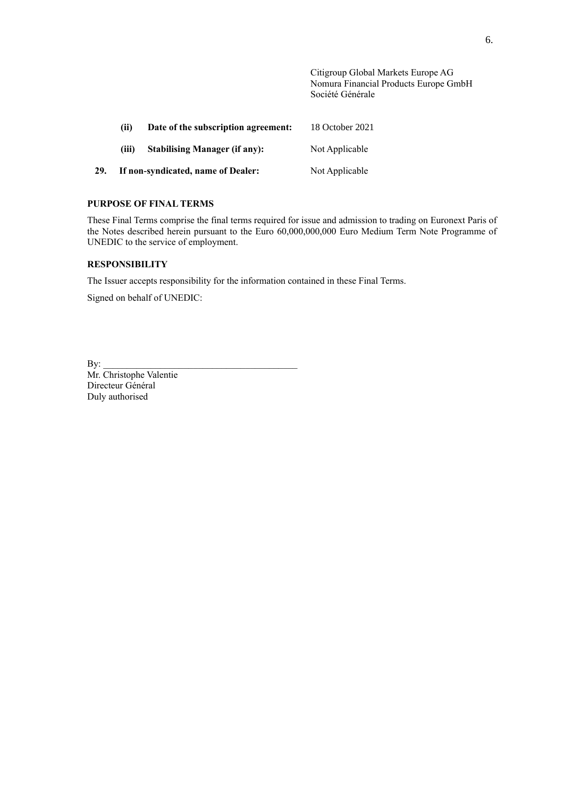Citigroup Global Markets Europe AG Nomura Financial Products Europe GmbH Société Générale

|     | (ii)                               | Date of the subscription agreement:  | 18 October 2021 |
|-----|------------------------------------|--------------------------------------|-----------------|
|     | (iii)                              | <b>Stabilising Manager (if any):</b> | Not Applicable  |
| 29. | If non-syndicated, name of Dealer: |                                      | Not Applicable  |

## **PURPOSE OF FINAL TERMS**

These Final Terms comprise the final terms required for issue and admission to trading on Euronext Paris of the Notes described herein pursuant to the Euro 60,000,000,000 Euro Medium Term Note Programme of UNEDIC to the service of employment.

## **RESPONSIBILITY**

The Issuer accepts responsibility for the information contained in these Final Terms.

Signed on behalf of UNEDIC:

 $\mathbf{By:}$ 

Mr. Christophe Valentie Directeur Général Duly authorised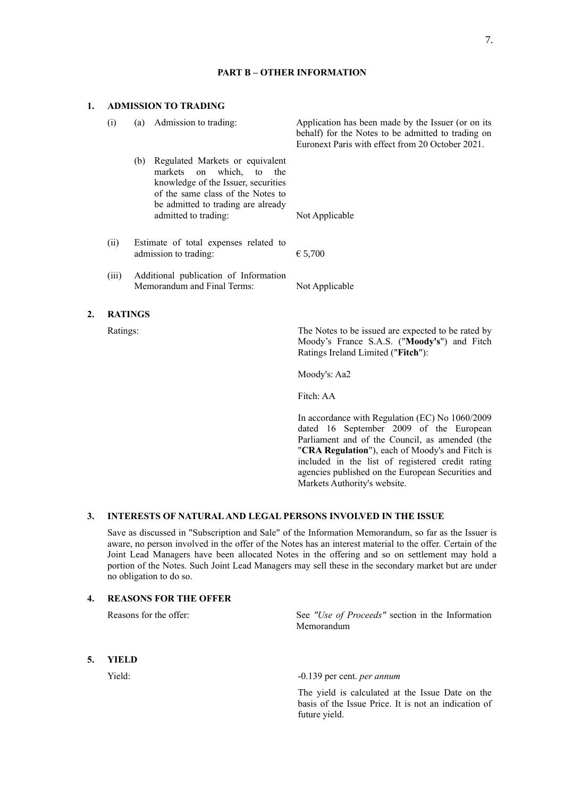#### **PART B – OTHER INFORMATION**

#### **1. ADMISSION TO TRADING**

| (i)            | (a)                                                                  | Admission to trading:                                                                                                                                                                                 | Application has been made by the Issuer (or on its<br>behalf) for the Notes to be admitted to trading on<br>Euronext Paris with effect from 20 October 2021. |
|----------------|----------------------------------------------------------------------|-------------------------------------------------------------------------------------------------------------------------------------------------------------------------------------------------------|--------------------------------------------------------------------------------------------------------------------------------------------------------------|
|                | (b)                                                                  | Regulated Markets or equivalent<br>markets on which, to the<br>knowledge of the Issuer, securities<br>of the same class of the Notes to<br>be admitted to trading are already<br>admitted to trading: | Not Applicable                                                                                                                                               |
|                |                                                                      |                                                                                                                                                                                                       |                                                                                                                                                              |
| (i)            |                                                                      | Estimate of total expenses related to<br>admission to trading:                                                                                                                                        | € 5,700                                                                                                                                                      |
| (iii)          | Additional publication of Information<br>Memorandum and Final Terms: |                                                                                                                                                                                                       | Not Applicable                                                                                                                                               |
| <b>RATINGS</b> |                                                                      |                                                                                                                                                                                                       |                                                                                                                                                              |
| Ratings:       |                                                                      |                                                                                                                                                                                                       | The Notes to be issued are expected to be rated by<br>Moody's France S.A.S. ("Moody's") and Fitch<br>Ratings Ireland Limited ("Fitch"):                      |

Moody's: Aa2

Fitch: AA

In accordance with Regulation (EC) No 1060/2009 dated 16 September 2009 of the European Parliament and of the Council, as amended (the "**CRA Regulation**"), each of Moody's and Fitch is included in the list of registered credit rating agencies published on the European Securities and Markets Authority's website.

## **3. INTERESTS OF NATURAL AND LEGAL PERSONS INVOLVED IN THE ISSUE**

Save as discussed in "Subscription and Sale" of the Information Memorandum, so far as the Issuer is aware, no person involved in the offer of the Notes has an interest material to the offer. Certain of the Joint Lead Managers have been allocated Notes in the offering and so on settlement may hold a portion of the Notes. Such Joint Lead Managers may sell these in the secondary market but are under no obligation to do so.

## **4. REASONS FOR THE OFFER**

Reasons for the offer: See *"Use of Proceeds"* section in the Information Memorandum

**5. YIELD**

 $2.$ 

#### Yield: -0.139 per cent. *per annum*

The yield is calculated at the Issue Date on the basis of the Issue Price. It is not an indication of future yield.